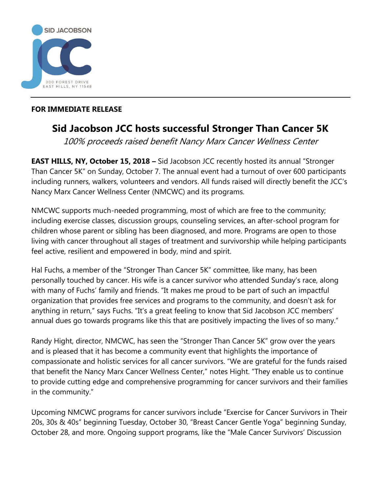

## **FOR IMMEDIATE RELEASE**

## **Sid Jacobson JCC hosts successful Stronger Than Cancer 5K**

100% proceeds raised benefit Nancy Marx Cancer Wellness Center

**EAST HILLS, NY, October 15, 2018 –** Sid Jacobson JCC recently hosted its annual "Stronger Than Cancer 5K" on Sunday, October 7. The annual event had a turnout of over 600 participants including runners, walkers, volunteers and vendors. All funds raised will directly benefit the JCC's Nancy Marx Cancer Wellness Center (NMCWC) and its programs.

NMCWC supports much-needed programming, most of which are free to the community; including exercise classes, discussion groups, counseling services, an after-school program for children whose parent or sibling has been diagnosed, and more. Programs are open to those living with cancer throughout all stages of treatment and survivorship while helping participants feel active, resilient and empowered in body, mind and spirit.

Hal Fuchs, a member of the "Stronger Than Cancer 5K" committee, like many, has been personally touched by cancer. His wife is a cancer survivor who attended Sunday's race, along with many of Fuchs' family and friends. "It makes me proud to be part of such an impactful organization that provides free services and programs to the community, and doesn't ask for anything in return," says Fuchs. "It's a great feeling to know that Sid Jacobson JCC members' annual dues go towards programs like this that are positively impacting the lives of so many."

Randy Hight, director, NMCWC, has seen the "Stronger Than Cancer 5K" grow over the years and is pleased that it has become a community event that highlights the importance of compassionate and holistic services for all cancer survivors. "We are grateful for the funds raised that benefit the Nancy Marx Cancer Wellness Center," notes Hight. "They enable us to continue to provide cutting edge and comprehensive programming for cancer survivors and their families in the community."

Upcoming NMCWC programs for cancer survivors include "Exercise for Cancer Survivors in Their 20s, 30s & 40s" beginning Tuesday, October 30, "Breast Cancer Gentle Yoga" beginning Sunday, October 28, and more. Ongoing support programs, like the "Male Cancer Survivors' Discussion